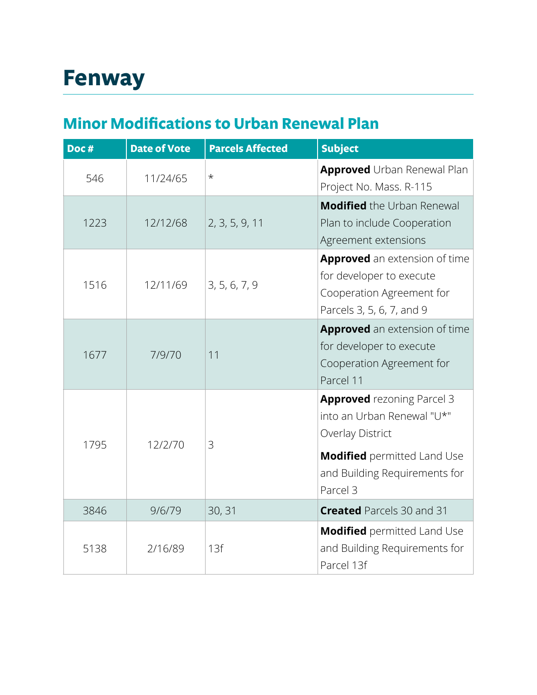## **Minor Modifications to Urban Renewal Plan**

| Doc# | <b>Date of Vote</b> | <b>Parcels Affected</b> | <b>Subject</b>                                                                                                      |
|------|---------------------|-------------------------|---------------------------------------------------------------------------------------------------------------------|
| 546  | 11/24/65            | $^\star$                | <b>Approved</b> Urban Renewal Plan<br>Project No. Mass. R-115                                                       |
| 1223 | 12/12/68            | 2, 3, 5, 9, 11          | <b>Modified</b> the Urban Renewal<br>Plan to include Cooperation<br>Agreement extensions                            |
| 1516 | 12/11/69            | 3, 5, 6, 7, 9           | Approved an extension of time<br>for developer to execute<br>Cooperation Agreement for<br>Parcels 3, 5, 6, 7, and 9 |
| 1677 | 7/9/70              | 11                      | Approved an extension of time<br>for developer to execute<br>Cooperation Agreement for<br>Parcel 11                 |
| 1795 | 12/2/70             | 3                       | <b>Approved</b> rezoning Parcel 3<br>into an Urban Renewal "U*"<br>Overlay District                                 |
|      |                     |                         | <b>Modified</b> permitted Land Use<br>and Building Requirements for<br>Parcel 3                                     |
| 3846 | 9/6/79              | 30, 31                  | <b>Created</b> Parcels 30 and 31                                                                                    |
| 5138 | 2/16/89             | 13f                     | <b>Modified</b> permitted Land Use<br>and Building Requirements for<br>Parcel 13f                                   |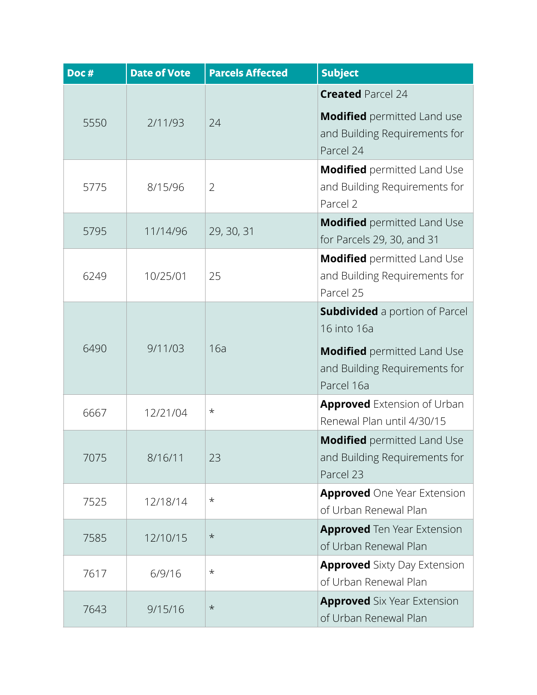| Doc# | <b>Date of Vote</b> | <b>Parcels Affected</b> | <b>Subject</b>                                                                    |
|------|---------------------|-------------------------|-----------------------------------------------------------------------------------|
| 5550 | 2/11/93             | 24                      | <b>Created Parcel 24</b>                                                          |
|      |                     |                         | <b>Modified</b> permitted Land use<br>and Building Requirements for<br>Parcel 24  |
| 5775 | 8/15/96             | $\overline{2}$          | <b>Modified</b> permitted Land Use<br>and Building Requirements for<br>Parcel 2   |
| 5795 | 11/14/96            | 29, 30, 31              | <b>Modified</b> permitted Land Use<br>for Parcels 29, 30, and 31                  |
| 6249 | 10/25/01            | 25                      | <b>Modified</b> permitted Land Use<br>and Building Requirements for<br>Parcel 25  |
| 6490 | 9/11/03             | 16a                     | <b>Subdivided</b> a portion of Parcel<br>16 into 16a                              |
|      |                     |                         | <b>Modified</b> permitted Land Use<br>and Building Requirements for<br>Parcel 16a |
| 6667 | 12/21/04            | $^\star$                | <b>Approved</b> Extension of Urban<br>Renewal Plan until 4/30/15                  |
| 7075 | 8/16/11             | 23                      | <b>Modified</b> permitted Land Use<br>and Building Requirements for<br>Parcel 23  |
| 7525 | 12/18/14            | $^\star$                | <b>Approved</b> One Year Extension<br>of Urban Renewal Plan                       |
| 7585 | 12/10/15            | $\star$                 | <b>Approved</b> Ten Year Extension<br>of Urban Renewal Plan                       |
| 7617 | 6/9/16              | $^\star$                | <b>Approved</b> Sixty Day Extension<br>of Urban Renewal Plan                      |
| 7643 | 9/15/16             | $\star$                 | <b>Approved</b> Six Year Extension<br>of Urban Renewal Plan                       |